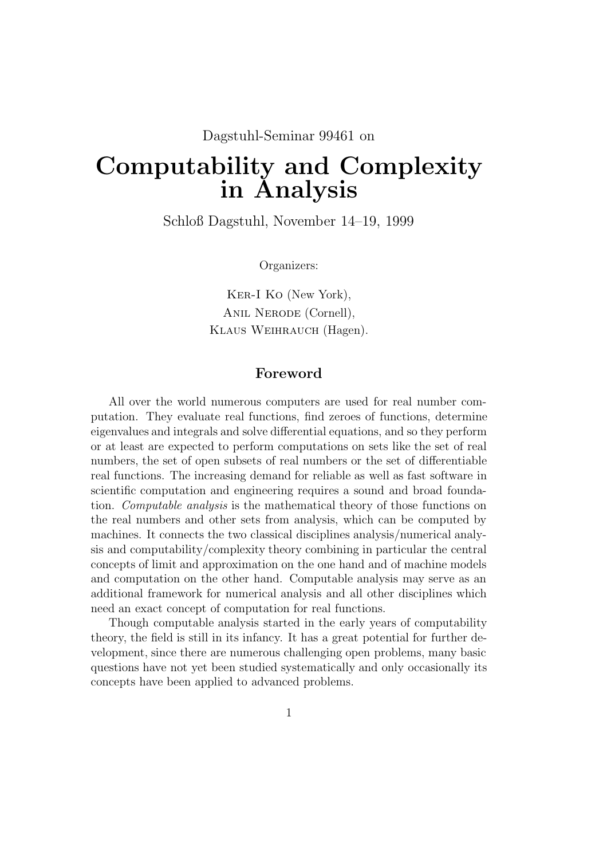# Dagstuhl-Seminar 99461 on

# Computability and Complexity in Analysis

Schloß Dagstuhl, November 14–19, 1999

Organizers:

Ker-I Ko (New York), Anil Nerode (Cornell), Klaus Weihrauch (Hagen).

# Foreword

All over the world numerous computers are used for real number computation. They evaluate real functions, find zeroes of functions, determine eigenvalues and integrals and solve differential equations, and so they perform or at least are expected to perform computations on sets like the set of real numbers, the set of open subsets of real numbers or the set of differentiable real functions. The increasing demand for reliable as well as fast software in scientific computation and engineering requires a sound and broad foundation. Computable analysis is the mathematical theory of those functions on the real numbers and other sets from analysis, which can be computed by machines. It connects the two classical disciplines analysis/numerical analysis and computability/complexity theory combining in particular the central concepts of limit and approximation on the one hand and of machine models and computation on the other hand. Computable analysis may serve as an additional framework for numerical analysis and all other disciplines which need an exact concept of computation for real functions.

Though computable analysis started in the early years of computability theory, the field is still in its infancy. It has a great potential for further development, since there are numerous challenging open problems, many basic questions have not yet been studied systematically and only occasionally its concepts have been applied to advanced problems.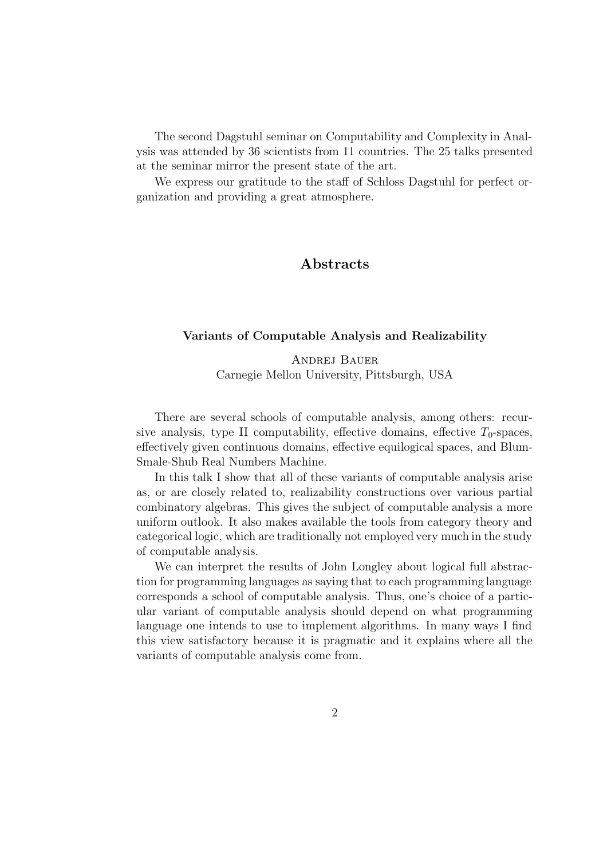The second Dagstuhl seminar on Computability and Complexity in Analysis was attended by 36 scientists from 11 countries. The 25 talks presented at the seminar mirror the present state of the art.

We express our gratitude to the staff of Schloss Dagstuhl for perfect organization and providing a great atmosphere.

# Abstracts

#### Variants of Computable Analysis and Realizability

Andrej Bauer Carnegie Mellon University, Pittsburgh, USA

There are several schools of computable analysis, among others: recursive analysis, type II computability, effective domains, effective  $T_0$ -spaces, effectively given continuous domains, effective equilogical spaces, and Blum-Smale-Shub Real Numbers Machine.

In this talk I show that all of these variants of computable analysis arise as, or are closely related to, realizability constructions over various partial combinatory algebras. This gives the subject of computable analysis a more uniform outlook. It also makes available the tools from category theory and categorical logic, which are traditionally not employed very much in the study of computable analysis.

We can interpret the results of John Longley about logical full abstraction for programming languages as saying that to each programming language corresponds a school of computable analysis. Thus, one's choice of a particular variant of computable analysis should depend on what programming language one intends to use to implement algorithms. In many ways I find this view satisfactory because it is pragmatic and it explains where all the variants of computable analysis come from.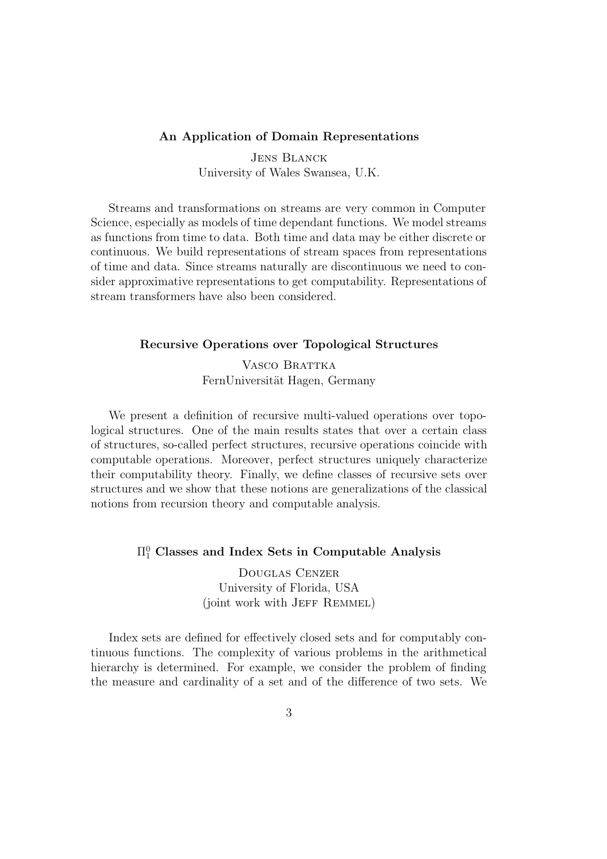#### An Application of Domain Representations

Jens Blanck University of Wales Swansea, U.K.

Streams and transformations on streams are very common in Computer Science, especially as models of time dependant functions. We model streams as functions from time to data. Both time and data may be either discrete or continuous. We build representations of stream spaces from representations of time and data. Since streams naturally are discontinuous we need to consider approximative representations to get computability. Representations of stream transformers have also been considered.

# Recursive Operations over Topological Structures

VASCO BRATTKA FernUniversität Hagen, Germany

We present a definition of recursive multi-valued operations over topological structures. One of the main results states that over a certain class of structures, so-called perfect structures, recursive operations coincide with computable operations. Moreover, perfect structures uniquely characterize their computability theory. Finally, we define classes of recursive sets over structures and we show that these notions are generalizations of the classical notions from recursion theory and computable analysis.

# $\Pi^0_1$  Classes and Index Sets in Computable Analysis

Douglas Cenzer University of Florida, USA (joint work with JEFF REMMEL)

Index sets are defined for effectively closed sets and for computably continuous functions. The complexity of various problems in the arithmetical hierarchy is determined. For example, we consider the problem of finding the measure and cardinality of a set and of the difference of two sets. We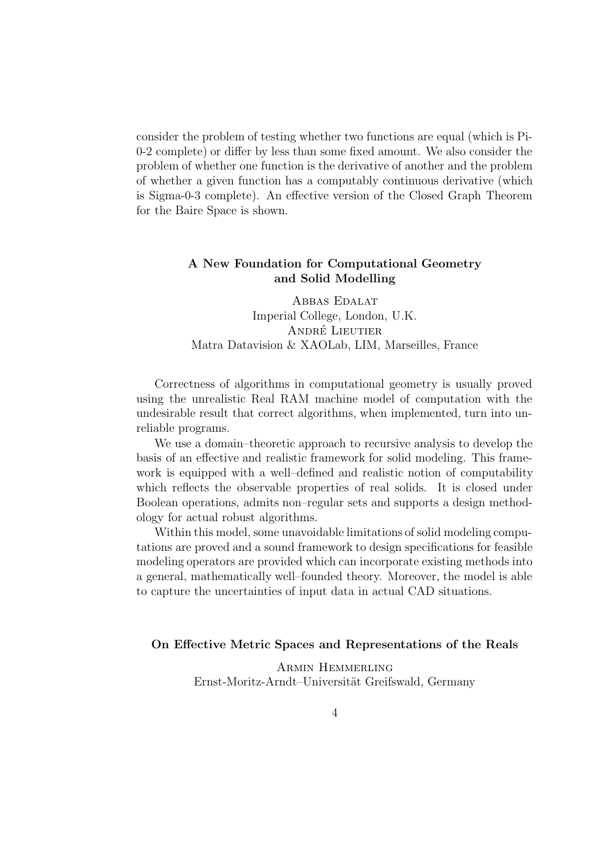consider the problem of testing whether two functions are equal (which is Pi-0-2 complete) or differ by less than some fixed amount. We also consider the problem of whether one function is the derivative of another and the problem of whether a given function has a computably continuous derivative (which is Sigma-0-3 complete). An effective version of the Closed Graph Theorem for the Baire Space is shown.

# A New Foundation for Computational Geometry and Solid Modelling

Abbas Edalat Imperial College, London, U.K. ANDRÉ LIEUTIER Matra Datavision & XAOLab, LIM, Marseilles, France

Correctness of algorithms in computational geometry is usually proved using the unrealistic Real RAM machine model of computation with the undesirable result that correct algorithms, when implemented, turn into unreliable programs.

We use a domain–theoretic approach to recursive analysis to develop the basis of an effective and realistic framework for solid modeling. This framework is equipped with a well–defined and realistic notion of computability which reflects the observable properties of real solids. It is closed under Boolean operations, admits non–regular sets and supports a design methodology for actual robust algorithms.

Within this model, some unavoidable limitations of solid modeling computations are proved and a sound framework to design specifications for feasible modeling operators are provided which can incorporate existing methods into a general, mathematically well–founded theory. Moreover, the model is able to capture the uncertainties of input data in actual CAD situations.

#### On Effective Metric Spaces and Representations of the Reals

Armin Hemmerling Ernst-Moritz-Arndt–Universität Greifswald, Germany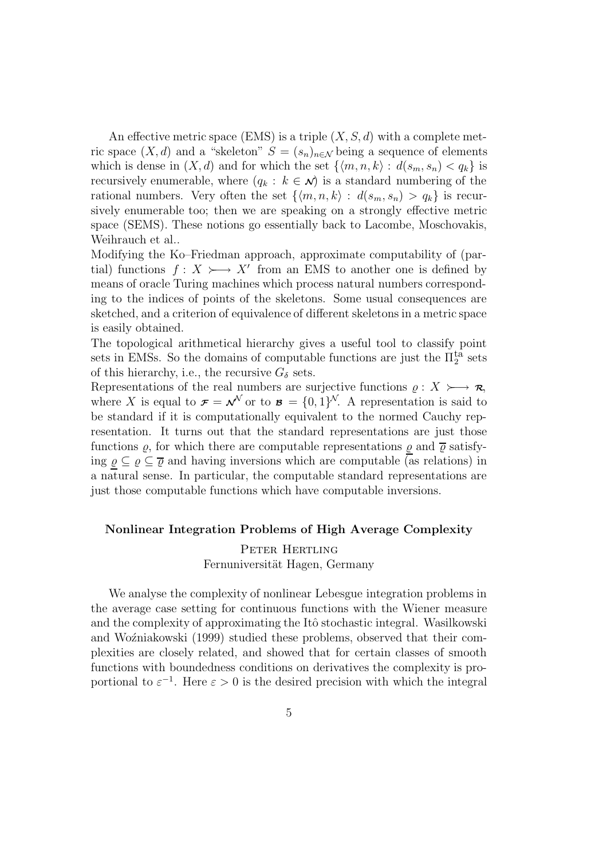An effective metric space (EMS) is a triple  $(X, S, d)$  with a complete metric space  $(X, d)$  and a "skeleton"  $S = (s_n)_{n \in \mathcal{N}}$  being a sequence of elements which is dense in  $(X, d)$  and for which the set  $\{(m, n, k) : d(s_m, s_n) < q_k\}$  is recursively enumerable, where  $(q_k : k \in \mathcal{N})$  is a standard numbering of the rational numbers. Very often the set  $\{(m, n, k) : d(s_m, s_n) > q_k\}$  is recursively enumerable too; then we are speaking on a strongly effective metric space (SEMS). These notions go essentially back to Lacombe, Moschovakis, Weihrauch et al..

Modifying the Ko–Friedman approach, approximate computability of (partial) functions  $f: X \rightarrow X'$  from an EMS to another one is defined by means of oracle Turing machines which process natural numbers corresponding to the indices of points of the skeletons. Some usual consequences are sketched, and a criterion of equivalence of different skeletons in a metric space is easily obtained.

The topological arithmetical hierarchy gives a useful tool to classify point sets in EMSs. So the domains of computable functions are just the  $\Pi_2^{\text{ta}}$  sets of this hierarchy, i.e., the recursive  $G_{\delta}$  sets.

Representations of the real numbers are surjective functions  $\rho : X \rightarrow \mathcal{R}$ , where X is equal to  $\mathbf{F} = \mathbf{v}^{\mathcal{N}}$  or to  $\mathbf{B} = \{0, 1\}^{\mathcal{N}}$ . A representation is said to be standard if it is computationally equivalent to the normed Cauchy representation. It turns out that the standard representations are just those functions  $\varrho$ , for which there are computable representations  $\varrho$  and  $\bar{\varrho}$  satisfying  $\varrho \subseteq \varrho \subseteq \overline{\varrho}$  and having inversions which are computable (as relations) in a natural sense. In particular, the computable standard representations are just those computable functions which have computable inversions.

#### Nonlinear Integration Problems of High Average Complexity

Peter Hertling Fernuniversität Hagen, Germany

We analyse the complexity of nonlinear Lebesgue integration problems in the average case setting for continuous functions with the Wiener measure and the complexity of approximating the Itô stochastic integral. Wasilkowski and Wozniakowski (1999) studied these problems, observed that their complexities are closely related, and showed that for certain classes of smooth functions with boundedness conditions on derivatives the complexity is proportional to  $\varepsilon^{-1}$ . Here  $\varepsilon > 0$  is the desired precision with which the integral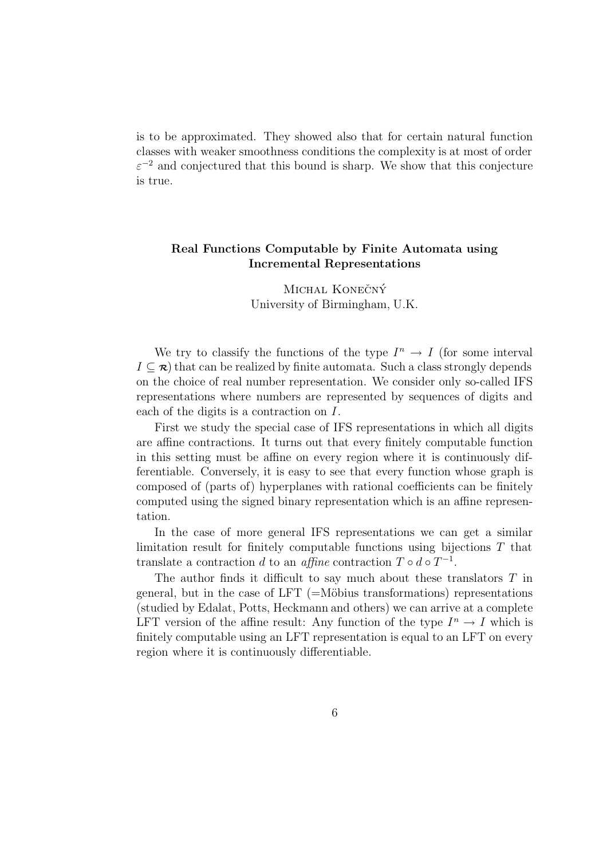is to be approximated. They showed also that for certain natural function classes with weaker smoothness conditions the complexity is at most of order  $\varepsilon^{-2}$  and conjectured that this bound is sharp. We show that this conjecture is true.

# Real Functions Computable by Finite Automata using Incremental Representations

MICHAL KONEČNÝ University of Birmingham, U.K.

We try to classify the functions of the type  $I^n \to I$  (for some interval  $I \subseteq \mathcal{R}$ ) that can be realized by finite automata. Such a class strongly depends on the choice of real number representation. We consider only so-called IFS representations where numbers are represented by sequences of digits and each of the digits is a contraction on I.

First we study the special case of IFS representations in which all digits are affine contractions. It turns out that every finitely computable function in this setting must be affine on every region where it is continuously differentiable. Conversely, it is easy to see that every function whose graph is composed of (parts of) hyperplanes with rational coefficients can be finitely computed using the signed binary representation which is an affine representation.

In the case of more general IFS representations we can get a similar limitation result for finitely computable functions using bijections T that translate a contraction d to an affine contraction  $T \circ d \circ T^{-1}$ .

The author finds it difficult to say much about these translators T in general, but in the case of LFT  $(=\text{Möbius}$  transformations) representations (studied by Edalat, Potts, Heckmann and others) we can arrive at a complete LFT version of the affine result: Any function of the type  $I^n \to I$  which is finitely computable using an LFT representation is equal to an LFT on every region where it is continuously differentiable.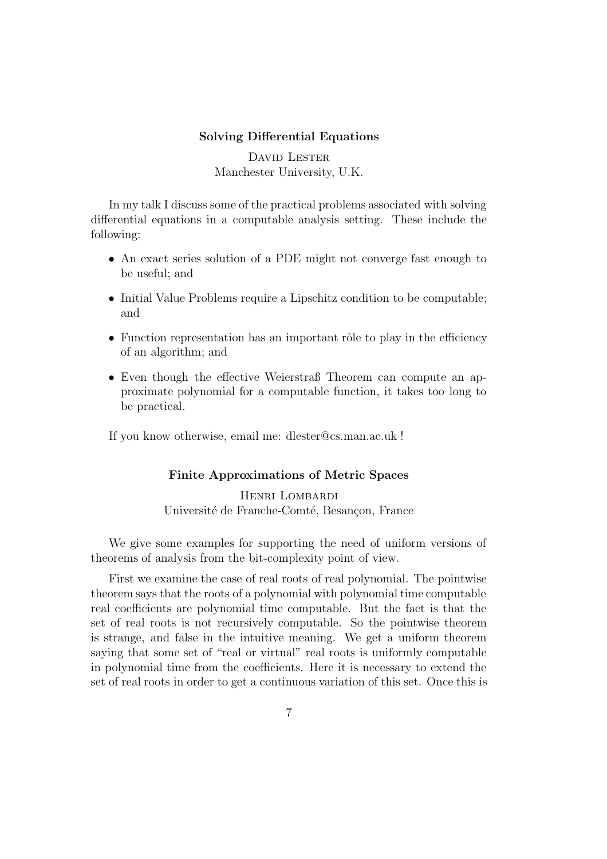#### Solving Differential Equations

DAVID LESTER Manchester University, U.K.

In my talk I discuss some of the practical problems associated with solving differential equations in a computable analysis setting. These include the following:

- An exact series solution of a PDE might not converge fast enough to be useful; and
- Initial Value Problems require a Lipschitz condition to be computable; and
- Function representation has an important rôle to play in the efficiency of an algorithm; and
- Even though the effective Weierstraß Theorem can compute an approximate polynomial for a computable function, it takes too long to be practical.

If you know otherwise, email me: dlester@cs.man.ac.uk !

# Finite Approximations of Metric Spaces

Henri Lombardi Université de Franche-Comté, Besançon, France

We give some examples for supporting the need of uniform versions of theorems of analysis from the bit-complexity point of view.

First we examine the case of real roots of real polynomial. The pointwise theorem says that the roots of a polynomial with polynomial time computable real coefficients are polynomial time computable. But the fact is that the set of real roots is not recursively computable. So the pointwise theorem is strange, and false in the intuitive meaning. We get a uniform theorem saying that some set of "real or virtual" real roots is uniformly computable in polynomial time from the coefficients. Here it is necessary to extend the set of real roots in order to get a continuous variation of this set. Once this is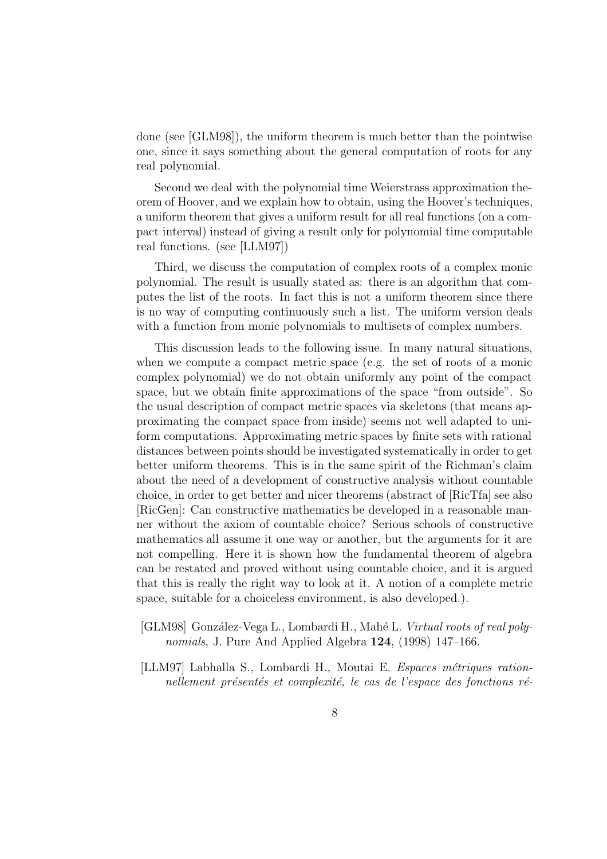done (see [GLM98]), the uniform theorem is much better than the pointwise one, since it says something about the general computation of roots for any real polynomial.

Second we deal with the polynomial time Weierstrass approximation theorem of Hoover, and we explain how to obtain, using the Hoover's techniques, a uniform theorem that gives a uniform result for all real functions (on a compact interval) instead of giving a result only for polynomial time computable real functions. (see [LLM97])

Third, we discuss the computation of complex roots of a complex monic polynomial. The result is usually stated as: there is an algorithm that computes the list of the roots. In fact this is not a uniform theorem since there is no way of computing continuously such a list. The uniform version deals with a function from monic polynomials to multisets of complex numbers.

This discussion leads to the following issue. In many natural situations, when we compute a compact metric space (e.g. the set of roots of a monic complex polynomial) we do not obtain uniformly any point of the compact space, but we obtain finite approximations of the space "from outside". So the usual description of compact metric spaces via skeletons (that means approximating the compact space from inside) seems not well adapted to uniform computations. Approximating metric spaces by finite sets with rational distances between points should be investigated systematically in order to get better uniform theorems. This is in the same spirit of the Richman's claim about the need of a development of constructive analysis without countable choice, in order to get better and nicer theorems (abstract of [RicTfa] see also [RicGen]: Can constructive mathematics be developed in a reasonable manner without the axiom of countable choice? Serious schools of constructive mathematics all assume it one way or another, but the arguments for it are not compelling. Here it is shown how the fundamental theorem of algebra can be restated and proved without using countable choice, and it is argued that this is really the right way to look at it. A notion of a complete metric space, suitable for a choiceless environment, is also developed.).

- [GLM98] González-Vega L., Lombardi H., Mahé L. *Virtual roots of real poly*nomials, J. Pure And Applied Algebra 124, (1998) 147–166.
- [LLM97] Labhalla S., Lombardi H., Moutai E. Espaces métriques rationnellement présentés et complexité, le cas de l'espace des fonctions ré-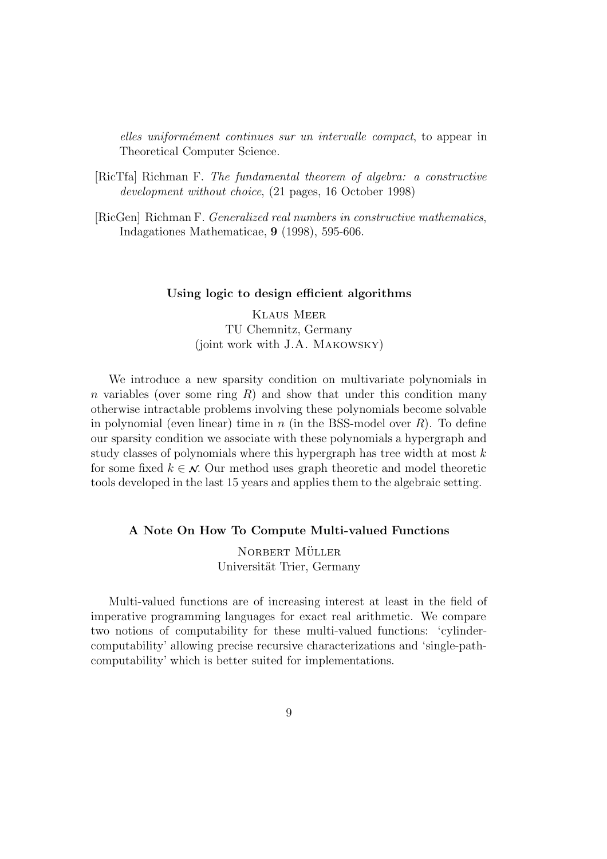elles uniformément continues sur un intervalle compact, to appear in Theoretical Computer Science.

- [RicTfa] Richman F. The fundamental theorem of algebra: a constructive development without choice, (21 pages, 16 October 1998)
- [RicGen] Richman F. Generalized real numbers in constructive mathematics, Indagationes Mathematicae, 9 (1998), 595-606.

#### Using logic to design efficient algorithms

Klaus Meer TU Chemnitz, Germany (joint work with J.A. Makowsky)

We introduce a new sparsity condition on multivariate polynomials in n variables (over some ring  $R$ ) and show that under this condition many otherwise intractable problems involving these polynomials become solvable in polynomial (even linear) time in n (in the BSS-model over  $R$ ). To define our sparsity condition we associate with these polynomials a hypergraph and study classes of polynomials where this hypergraph has tree width at most  $k$ for some fixed  $k \in \mathcal{N}$ . Our method uses graph theoretic and model theoretic tools developed in the last 15 years and applies them to the algebraic setting.

# A Note On How To Compute Multi-valued Functions

NORBERT MÜLLER Universität Trier, Germany

Multi-valued functions are of increasing interest at least in the field of imperative programming languages for exact real arithmetic. We compare two notions of computability for these multi-valued functions: 'cylindercomputability' allowing precise recursive characterizations and 'single-pathcomputability' which is better suited for implementations.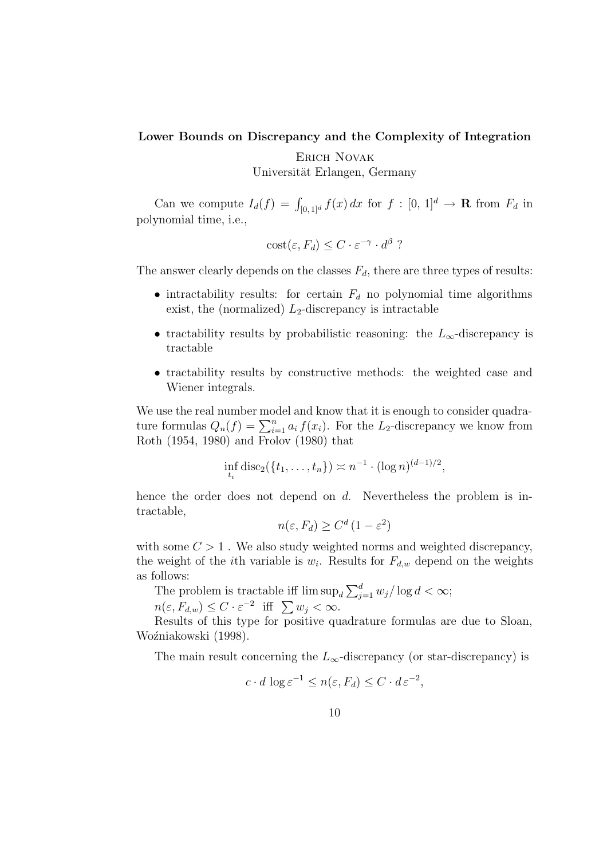# Lower Bounds on Discrepancy and the Complexity of Integration

Erich Novak

Universität Erlangen, Germany

Can we compute  $I_d(f) = \int_{[0,1]^d} f(x) dx$  for  $f : [0, 1]^d \to \mathbf{R}$  from  $F_d$  in polynomial time, i.e.,

$$
cost(\varepsilon, F_d) \le C \cdot \varepsilon^{-\gamma} \cdot d^{\beta} ?
$$

The answer clearly depends on the classes  $F_d$ , there are three types of results:

- intractability results: for certain  $F_d$  no polynomial time algorithms exist, the (normalized)  $L_2$ -discrepancy is intractable
- tractability results by probabilistic reasoning: the  $L_{\infty}$ -discrepancy is tractable
- tractability results by constructive methods: the weighted case and Wiener integrals.

We use the real number model and know that it is enough to consider quadrature formulas  $Q_n(f) = \sum_{i=1}^n a_i f(x_i)$ . For the L<sub>2</sub>-discrepancy we know from Roth (1954, 1980) and Frolov (1980) that

$$
\inf_{t_i} \text{disc}_2(\{t_1,\ldots,t_n\}) \asymp n^{-1} \cdot (\log n)^{(d-1)/2},
$$

hence the order does not depend on  $d$ . Nevertheless the problem is intractable,

$$
n(\varepsilon, F_d) \ge C^d \left(1 - \varepsilon^2\right)
$$

with some  $C > 1$ . We also study weighted norms and weighted discrepancy, the weight of the *i*th variable is  $w_i$ . Results for  $F_{d,w}$  depend on the weights as follows:

The problem is tractable iff  $\limsup_{d} \sum_{j=1}^{d} w_j / \log d < \infty$ ;

 $n(\varepsilon, F_{d,w}) \leq C \cdot \varepsilon^{-2}$  iff  $\sum w_j < \infty$ .

Results of this type for positive quadrature formulas are due to Sloan, Woźniakowski (1998).

The main result concerning the  $L_{\infty}$ -discrepancy (or star-discrepancy) is

$$
c \cdot d \log \varepsilon^{-1} \le n(\varepsilon, F_d) \le C \cdot d \varepsilon^{-2},
$$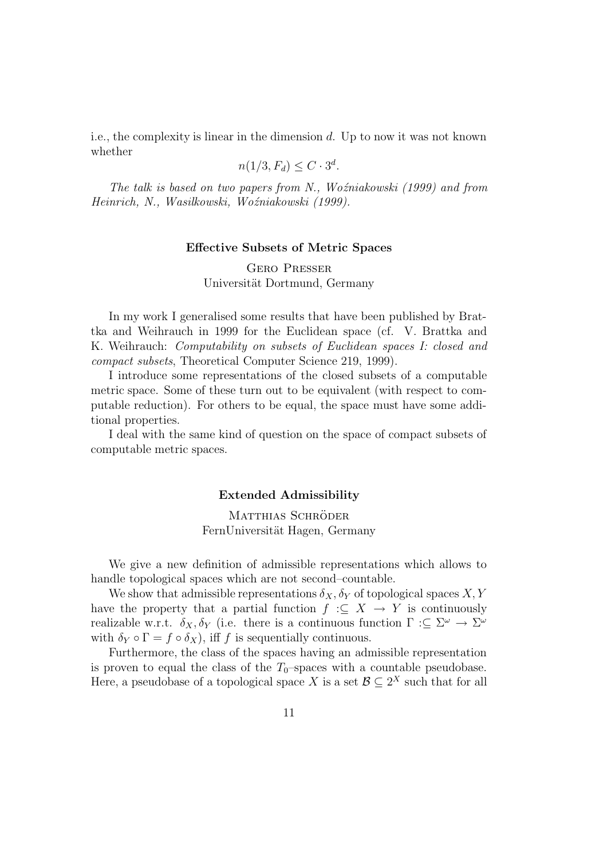i.e., the complexity is linear in the dimension d. Up to now it was not known whether

$$
n(1/3, F_d) \le C \cdot 3^d.
$$

The talk is based on two papers from N., Woźniakowski  $(1999)$  and from Heinrich, N., Wasilkowski, Woźniakowski (1999).

#### Effective Subsets of Metric Spaces

Gero Presser Universität Dortmund, Germany

In my work I generalised some results that have been published by Brattka and Weihrauch in 1999 for the Euclidean space (cf. V. Brattka and K. Weihrauch: *Computability on subsets of Euclidean spaces I: closed and* compact subsets, Theoretical Computer Science 219, 1999).

I introduce some representations of the closed subsets of a computable metric space. Some of these turn out to be equivalent (with respect to computable reduction). For others to be equal, the space must have some additional properties.

I deal with the same kind of question on the space of compact subsets of computable metric spaces.

#### Extended Admissibility

# MATTHIAS SCHRÖDER FernUniversität Hagen, Germany

We give a new definition of admissible representations which allows to handle topological spaces which are not second–countable.

We show that admissible representations  $\delta_X, \delta_Y$  of topological spaces  $X, Y$ have the property that a partial function  $f : \subseteq X \to Y$  is continuously realizable w.r.t.  $\delta_X, \delta_Y$  (i.e. there is a continuous function  $\Gamma : \subseteq \Sigma^{\omega} \to \Sigma^{\omega}$ with  $\delta_Y \circ \Gamma = f \circ \delta_X$ , iff f is sequentially continuous.

Furthermore, the class of the spaces having an admissible representation is proven to equal the class of the  $T_0$ –spaces with a countable pseudobase. Here, a pseudobase of a topological space X is a set  $\mathcal{B} \subseteq 2^X$  such that for all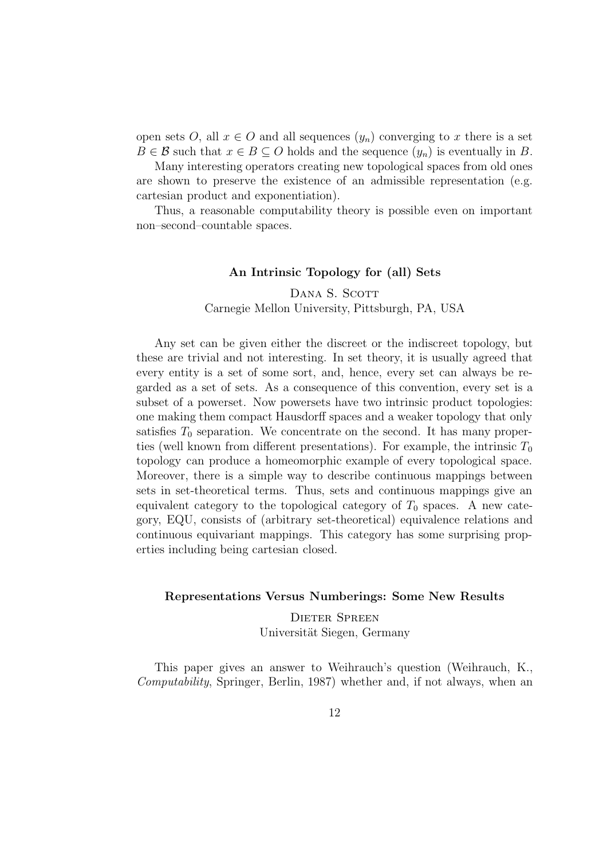open sets O, all  $x \in O$  and all sequences  $(y_n)$  converging to x there is a set  $B \in \mathcal{B}$  such that  $x \in B \subseteq O$  holds and the sequence  $(y_n)$  is eventually in B.

Many interesting operators creating new topological spaces from old ones are shown to preserve the existence of an admissible representation (e.g. cartesian product and exponentiation).

Thus, a reasonable computability theory is possible even on important non–second–countable spaces.

#### An Intrinsic Topology for (all) Sets

DANA S. SCOTT Carnegie Mellon University, Pittsburgh, PA, USA

Any set can be given either the discreet or the indiscreet topology, but these are trivial and not interesting. In set theory, it is usually agreed that every entity is a set of some sort, and, hence, every set can always be regarded as a set of sets. As a consequence of this convention, every set is a subset of a powerset. Now powersets have two intrinsic product topologies: one making them compact Hausdorff spaces and a weaker topology that only satisfies  $T_0$  separation. We concentrate on the second. It has many properties (well known from different presentations). For example, the intrinsic  $T_0$ topology can produce a homeomorphic example of every topological space. Moreover, there is a simple way to describe continuous mappings between sets in set-theoretical terms. Thus, sets and continuous mappings give an equivalent category to the topological category of  $T_0$  spaces. A new category, EQU, consists of (arbitrary set-theoretical) equivalence relations and continuous equivariant mappings. This category has some surprising properties including being cartesian closed.

# Representations Versus Numberings: Some New Results

Dieter Spreen Universität Siegen, Germany

This paper gives an answer to Weihrauch's question (Weihrauch, K., Computability, Springer, Berlin, 1987) whether and, if not always, when an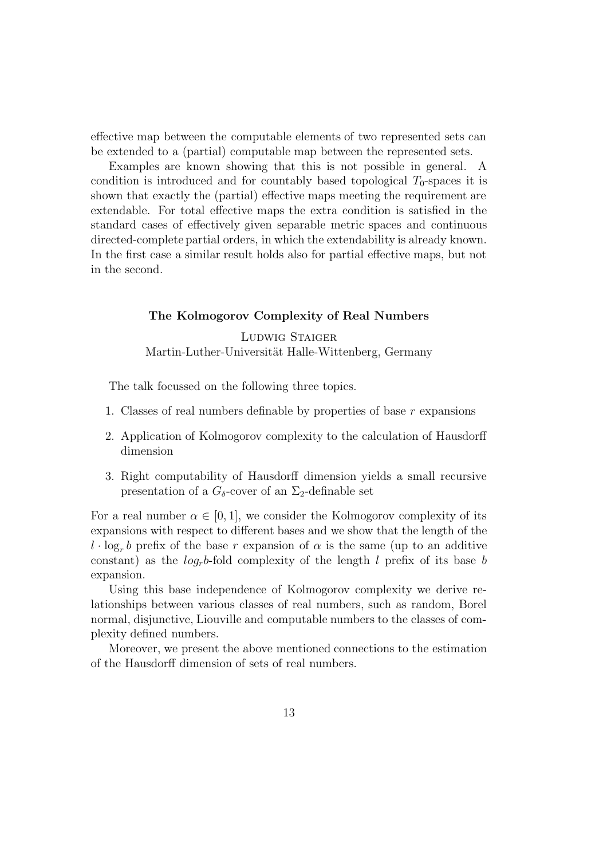effective map between the computable elements of two represented sets can be extended to a (partial) computable map between the represented sets.

Examples are known showing that this is not possible in general. A condition is introduced and for countably based topological  $T_0$ -spaces it is shown that exactly the (partial) effective maps meeting the requirement are extendable. For total effective maps the extra condition is satisfied in the standard cases of effectively given separable metric spaces and continuous directed-complete partial orders, in which the extendability is already known. In the first case a similar result holds also for partial effective maps, but not in the second.

#### The Kolmogorov Complexity of Real Numbers

Ludwig Staiger Martin-Luther-Universität Halle-Wittenberg, Germany

The talk focussed on the following three topics.

- 1. Classes of real numbers definable by properties of base r expansions
- 2. Application of Kolmogorov complexity to the calculation of Hausdorff dimension
- 3. Right computability of Hausdorff dimension yields a small recursive presentation of a  $G_{\delta}$ -cover of an  $\Sigma_2$ -definable set

For a real number  $\alpha \in [0,1]$ , we consider the Kolmogorov complexity of its expansions with respect to different bases and we show that the length of the  $l \cdot \log_r b$  prefix of the base r expansion of  $\alpha$  is the same (up to an additive constant) as the  $log_{r}b$ -fold complexity of the length l prefix of its base b expansion.

Using this base independence of Kolmogorov complexity we derive relationships between various classes of real numbers, such as random, Borel normal, disjunctive, Liouville and computable numbers to the classes of complexity defined numbers.

Moreover, we present the above mentioned connections to the estimation of the Hausdorff dimension of sets of real numbers.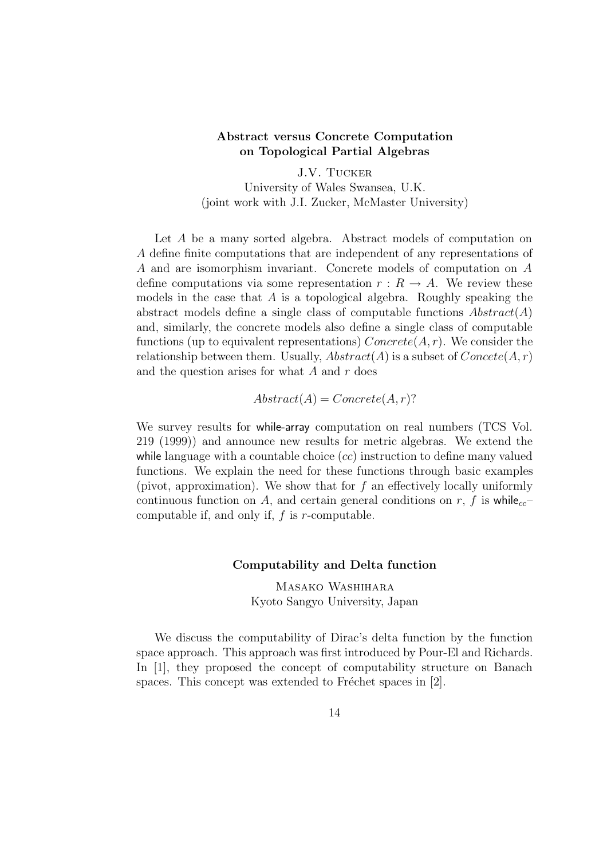# Abstract versus Concrete Computation on Topological Partial Algebras

J.V. Tucker University of Wales Swansea, U.K. (joint work with J.I. Zucker, McMaster University)

Let A be a many sorted algebra. Abstract models of computation on A define finite computations that are independent of any representations of A and are isomorphism invariant. Concrete models of computation on A define computations via some representation  $r: R \to A$ . We review these models in the case that A is a topological algebra. Roughly speaking the abstract models define a single class of computable functions  $Abstract(A)$ and, similarly, the concrete models also define a single class of computable functions (up to equivalent representations)  $Concrete(A, r)$ . We consider the relationship between them. Usually,  $Abstract(A)$  is a subset of  $Concept(A, r)$ and the question arises for what  $A$  and  $r$  does

$$
Abstract(A) = concrete(A, r)?
$$

We survey results for while-array computation on real numbers (TCS Vol. 219 (1999)) and announce new results for metric algebras. We extend the while language with a countable choice  $(cc)$  instruction to define many valued functions. We explain the need for these functions through basic examples (pivot, approximation). We show that for f an effectively locally uniformly continuous function on A, and certain general conditions on r, f is while<sub>cc</sub>– computable if, and only if,  $f$  is  $r$ -computable.

# Computability and Delta function

Masako Washihara Kyoto Sangyo University, Japan

We discuss the computability of Dirac's delta function by the function space approach. This approach was first introduced by Pour-El and Richards. In [1], they proposed the concept of computability structure on Banach spaces. This concept was extended to Fréchet spaces in  $[2]$ .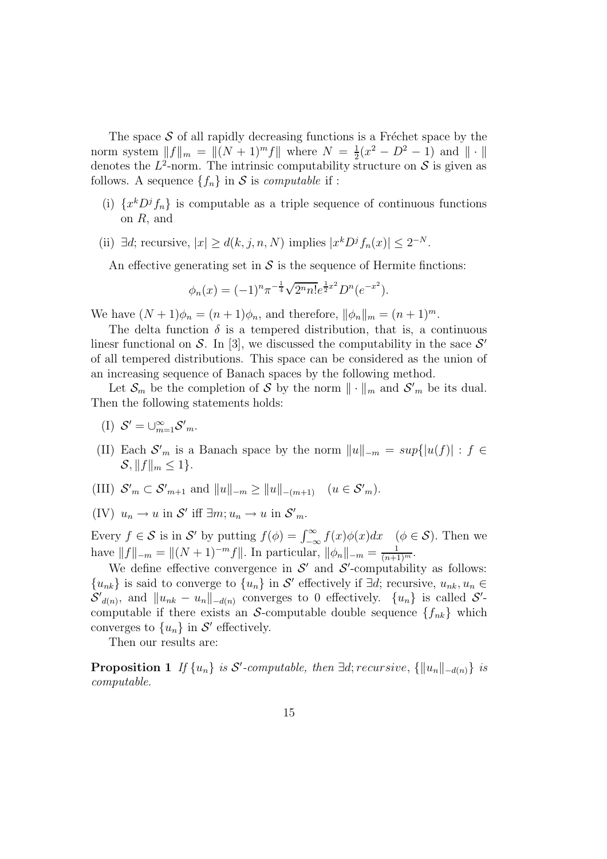The space  $S$  of all rapidly decreasing functions is a Fréchet space by the norm system  $||f||_m = ||(N + 1)^m f||$  where  $N = \frac{1}{2}$  $\frac{1}{2}(x^2 - D^2 - 1)$  and  $\|\cdot\|$ denotes the  $L^2$ -norm. The intrinsic computability structure on S is given as follows. A sequence  $\{f_n\}$  in S is *computable* if :

- (i)  $\{x^kD^jf_n\}$  is computable as a triple sequence of continuous functions on R, and
- (ii)  $\exists d$ ; recursive,  $|x| \ge d(k, j, n, N)$  implies  $|x^k D^j f_n(x)| \le 2^{-N}$ .

An effective generating set in  $\mathcal S$  is the sequence of Hermite finctions:

$$
\phi_n(x) = (-1)^n \pi^{-\frac{1}{4}} \sqrt{2^n n!} e^{\frac{1}{2}x^2} D^n(e^{-x^2}).
$$

We have  $(N + 1)\phi_n = (n + 1)\phi_n$ , and therefore,  $\|\phi_n\|_m = (n + 1)^m$ .

The delta function  $\delta$  is a tempered distribution, that is, a continuous linesr functional on S. In [3], we discussed the computability in the sace  $S'$ of all tempered distributions. This space can be considered as the union of an increasing sequence of Banach spaces by the following method.

Let  $\mathcal{S}_m$  be the completion of S by the norm  $\|\cdot\|_m$  and  $\mathcal{S'}_m$  be its dual. Then the following statements holds:

- (I)  $S' = \bigcup_{m=1}^{\infty} S'_m$ .
- (II) Each  $S'_m$  is a Banach space by the norm  $||u||_{-m} = sup{ |u(f)| : f \in}$  $S, \|f\|_m < 1$ .
- (III)  $S'_m \subset S'_{m+1}$  and  $||u||_{-m} \ge ||u||_{-(m+1)}$   $(u \in S'_m)$ .

(IV) 
$$
u_n \to u
$$
 in  $\mathcal{S}'$  iff  $\exists m; u_n \to u$  in  $\mathcal{S}'_m$ .

Every  $f \in S$  is in S' by putting  $f(\phi) = \int_{-\infty}^{\infty} f(x)\phi(x)dx \quad (\phi \in S)$ . Then we have  $||f||_{-m} = ||(N+1)^{-m}f||$ . In particular,  $||\phi_n||_{-m} = \frac{1}{(n+1)^m}$ .

We define effective convergence in  $\mathcal{S}'$  and  $\mathcal{S}'$ -computability as follows:  ${u_{nk}}$  is said to converge to  ${u_n}$  in S' effectively if ∃d; recursive,  $u_{nk}, u_n \in$  $S'_{d(n)}$ , and  $||u_{nk} - u_n||_{-d(n)}$  converges to 0 effectively.  $\{u_n\}$  is called  $S'$ computable if there exists an S-computable double sequence  $\{f_{nk}\}\$  which converges to  $\{u_n\}$  in S' effectively.

Then our results are:

**Proposition 1** If  $\{u_n\}$  is  $S'$ -computable, then  $\exists d$ ; recursive,  $\{\|u_n\|_{-d(n)}\}$  is computable.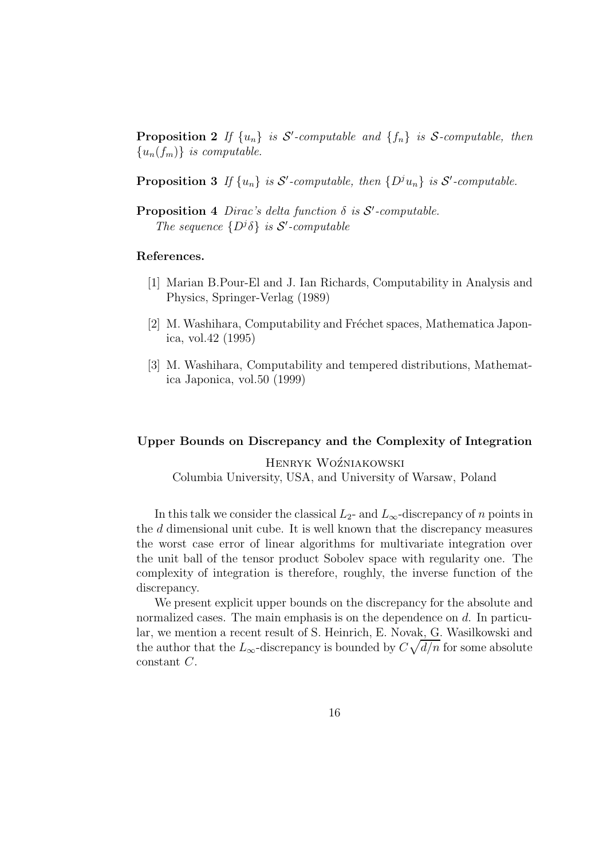**Proposition 2** If  $\{u_n\}$  is S'-computable and  $\{f_n\}$  is S-computable, then  ${u_n(f_m)}$  is computable.

**Proposition 3** If  $\{u_n\}$  is  $S'$ -computable, then  $\{D^j u_n\}$  is  $S'$ -computable.

**Proposition 4** Dirac's delta function  $\delta$  is  $S'$ -computable. The sequence  $\{D^j\delta\}$  is  $\mathcal{S}'$ -computable

#### References.

- [1] Marian B.Pour-El and J. Ian Richards, Computability in Analysis and Physics, Springer-Verlag (1989)
- [2] M. Washihara, Computability and Fréchet spaces, Mathematica Japonica, vol.42 (1995)
- [3] M. Washihara, Computability and tempered distributions, Mathematica Japonica, vol.50 (1999)

#### Upper Bounds on Discrepancy and the Complexity of Integration

HENRYK WOŹNIAKOWSKI Columbia University, USA, and University of Warsaw, Poland

In this talk we consider the classical  $L_2$ - and  $L_{\infty}$ -discrepancy of n points in the d dimensional unit cube. It is well known that the discrepancy measures the worst case error of linear algorithms for multivariate integration over the unit ball of the tensor product Sobolev space with regularity one. The complexity of integration is therefore, roughly, the inverse function of the discrepancy.

We present explicit upper bounds on the discrepancy for the absolute and normalized cases. The main emphasis is on the dependence on d. In particular, we mention a recent result of S. Heinrich, E. Novak, G. Wasilkowski and the author that the  $L_{\infty}$ -discrepancy is bounded by  $C\sqrt{d/n}$  for some absolute constant C.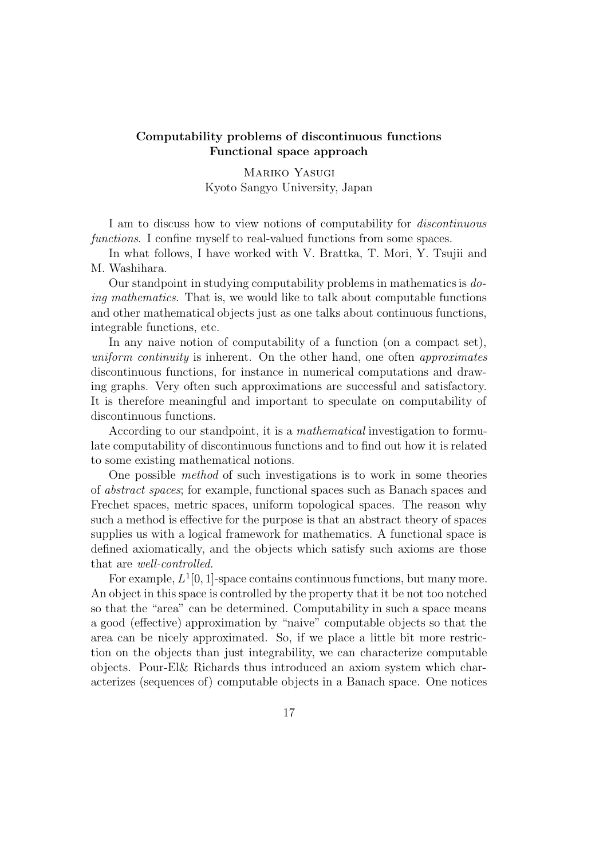# Computability problems of discontinuous functions Functional space approach

Mariko Yasugi Kyoto Sangyo University, Japan

I am to discuss how to view notions of computability for discontinuous functions. I confine myself to real-valued functions from some spaces.

In what follows, I have worked with V. Brattka, T. Mori, Y. Tsujii and M. Washihara.

Our standpoint in studying computability problems in mathematics is doing mathematics. That is, we would like to talk about computable functions and other mathematical objects just as one talks about continuous functions, integrable functions, etc.

In any naive notion of computability of a function (on a compact set), uniform continuity is inherent. On the other hand, one often approximates discontinuous functions, for instance in numerical computations and drawing graphs. Very often such approximations are successful and satisfactory. It is therefore meaningful and important to speculate on computability of discontinuous functions.

According to our standpoint, it is a *mathematical* investigation to formulate computability of discontinuous functions and to find out how it is related to some existing mathematical notions.

One possible method of such investigations is to work in some theories of abstract spaces; for example, functional spaces such as Banach spaces and Frechet spaces, metric spaces, uniform topological spaces. The reason why such a method is effective for the purpose is that an abstract theory of spaces supplies us with a logical framework for mathematics. A functional space is defined axiomatically, and the objects which satisfy such axioms are those that are well-controlled.

For example,  $L^1[0,1]$ -space contains continuous functions, but many more. An object in this space is controlled by the property that it be not too notched so that the "area" can be determined. Computability in such a space means a good (effective) approximation by "naive" computable objects so that the area can be nicely approximated. So, if we place a little bit more restriction on the objects than just integrability, we can characterize computable objects. Pour-El& Richards thus introduced an axiom system which characterizes (sequences of) computable objects in a Banach space. One notices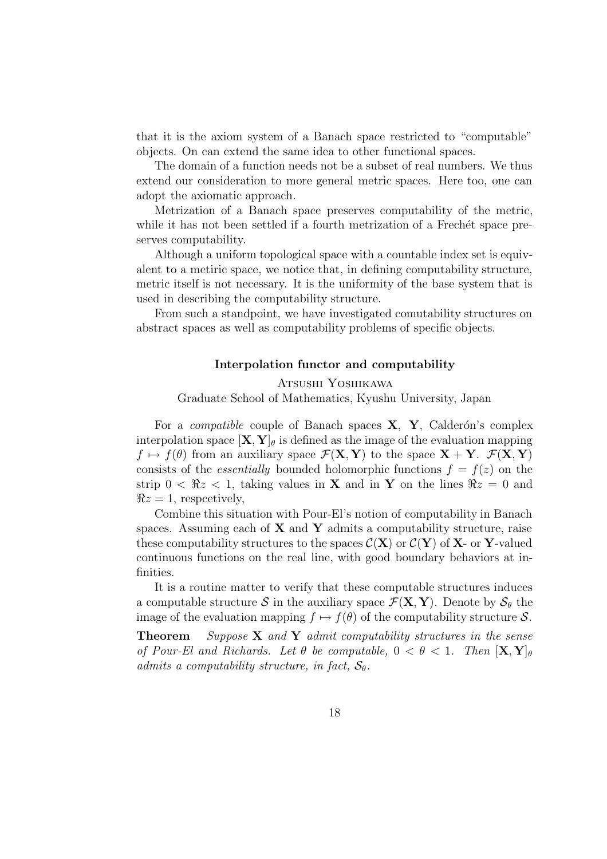that it is the axiom system of a Banach space restricted to "computable" objects. On can extend the same idea to other functional spaces.

The domain of a function needs not be a subset of real numbers. We thus extend our consideration to more general metric spaces. Here too, one can adopt the axiomatic approach.

Metrization of a Banach space preserves computability of the metric, while it has not been settled if a fourth metrization of a Frechet space preserves computability.

Although a uniform topological space with a countable index set is equivalent to a metiric space, we notice that, in defining computability structure, metric itself is not necessary. It is the uniformity of the base system that is used in describing the computability structure.

From such a standpoint, we have investigated comutability structures on abstract spaces as well as computability problems of specific objects.

#### Interpolation functor and computability

Atsushi Yoshikawa

Graduate School of Mathematics, Kyushu University, Japan

For a *compatible* couple of Banach spaces  $X$ ,  $Y$ , Calderón's complex interpolation space  $[\mathbf{X}, \mathbf{Y}]_\theta$  is defined as the image of the evaluation mapping  $f \mapsto f(\theta)$  from an auxiliary space  $\mathcal{F}(\mathbf{X}, \mathbf{Y})$  to the space  $\mathbf{X} + \mathbf{Y}$ .  $\mathcal{F}(\mathbf{X}, \mathbf{Y})$ consists of the *essentially* bounded holomorphic functions  $f = f(z)$  on the strip  $0 < \Re z < 1$ , taking values in **X** and in **Y** on the lines  $\Re z = 0$  and  $\Re z = 1$ , respectively,

Combine this situation with Pour-El's notion of computability in Banach spaces. Assuming each of  $X$  and  $Y$  admits a computability structure, raise these computability structures to the spaces  $\mathcal{C}(\mathbf{X})$  or  $\mathcal{C}(\mathbf{Y})$  of **X**- or **Y**-valued continuous functions on the real line, with good boundary behaviors at infinities.

It is a routine matter to verify that these computable structures induces a computable structure S in the auxiliary space  $\mathcal{F}(\mathbf{X}, \mathbf{Y})$ . Denote by  $\mathcal{S}_{\theta}$  the image of the evaluation mapping  $f \mapsto f(\theta)$  of the computability structure S.

**Theorem** Suppose  $X$  and  $Y$  admit computability structures in the sense of Pour-El and Richards. Let  $\theta$  be computable,  $0 < \theta < 1$ . Then  $[\mathbf{X}, \mathbf{Y}]_{\theta}$ admits a computability structure, in fact,  $S_{\theta}$ .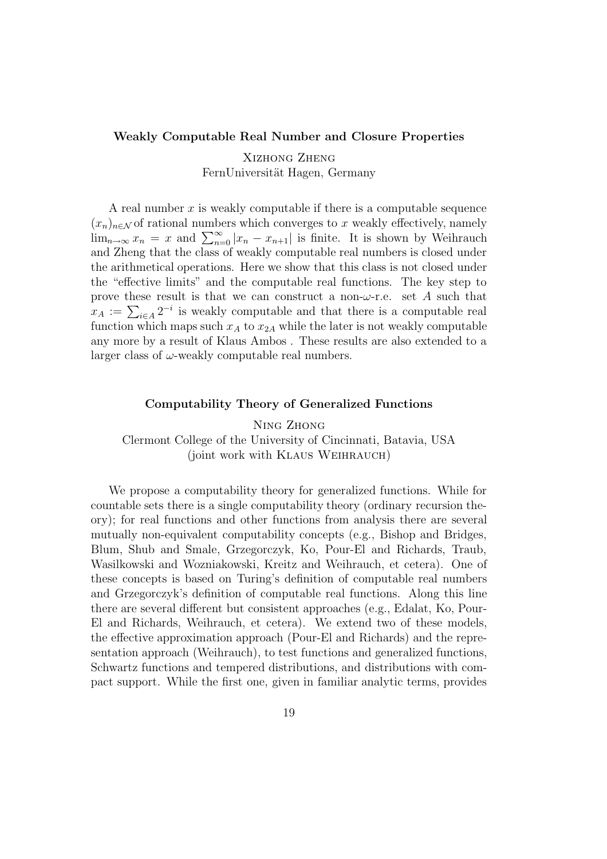#### Weakly Computable Real Number and Closure Properties

Xizhong Zheng FernUniversität Hagen, Germany

A real number x is weakly computable if there is a computable sequence  $(x_n)_{n\in\mathcal{N}}$  of rational numbers which converges to x weakly effectively, namely  $\lim_{n\to\infty} x_n = x$  and  $\sum_{n=0}^{\infty} |x_n - x_{n+1}|$  is finite. It is shown by Weihrauch and Zheng that the class of weakly computable real numbers is closed under the arithmetical operations. Here we show that this class is not closed under the "effective limits" and the computable real functions. The key step to prove these result is that we can construct a non- $\omega$ -r.e. set A such that  $x_A := \sum_{i \in A} 2^{-i}$  is weakly computable and that there is a computable real function which maps such  $x_A$  to  $x_{2A}$  while the later is not weakly computable any more by a result of Klaus Ambos . These results are also extended to a larger class of  $\omega$ -weakly computable real numbers.

#### Computability Theory of Generalized Functions

Ning Zhong Clermont College of the University of Cincinnati, Batavia, USA (joint work with Klaus Weihrauch)

We propose a computability theory for generalized functions. While for countable sets there is a single computability theory (ordinary recursion theory); for real functions and other functions from analysis there are several mutually non-equivalent computability concepts (e.g., Bishop and Bridges, Blum, Shub and Smale, Grzegorczyk, Ko, Pour-El and Richards, Traub, Wasilkowski and Wozniakowski, Kreitz and Weihrauch, et cetera). One of these concepts is based on Turing's definition of computable real numbers and Grzegorczyk's definition of computable real functions. Along this line there are several different but consistent approaches (e.g., Edalat, Ko, Pour-El and Richards, Weihrauch, et cetera). We extend two of these models, the effective approximation approach (Pour-El and Richards) and the representation approach (Weihrauch), to test functions and generalized functions, Schwartz functions and tempered distributions, and distributions with compact support. While the first one, given in familiar analytic terms, provides